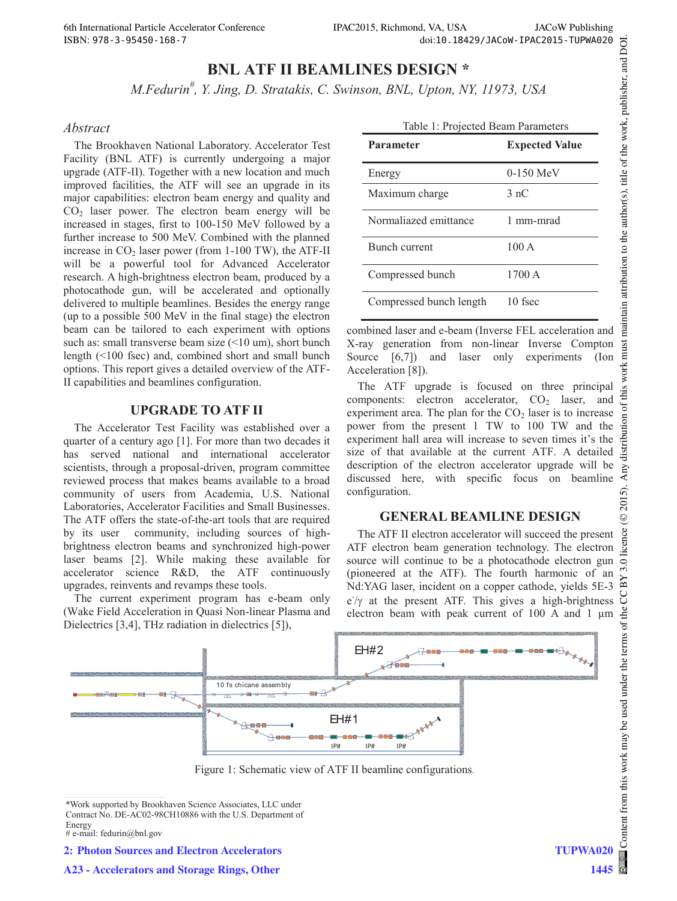# **BNL ATF II BEAMLINES DESIGN \***

*M.Fedurin# , Y. Jing, D. Stratakis, C. Swinson, BNL, Upton, NY, 11973, USA* 

#### *Abstract*

The Brookhaven National Laboratory. Accelerator Test Facility (BNL ATF) is currently undergoing a major upgrade (ATF-II). Together with a new location and much improved facilities, the ATF will see an upgrade in its major capabilities: electron beam energy and quality and  $CO<sub>2</sub>$  laser power. The electron beam energy will be increased in stages, first to 100-150 MeV followed by a further increase to 500 MeV. Combined with the planned increase in  $CO<sub>2</sub>$  laser power (from 1-100 TW), the ATF-II will be a powerful tool for Advanced Accelerator research. A high-brightness electron beam, produced by a photocathode gun, will be accelerated and optionally delivered to multiple beamlines. Besides the energy range (up to a possible 500 MeV in the final stage) the electron beam can be tailored to each experiment with options such as: small transverse beam size (<10 um), short bunch length (<100 fsec) and, combined short and small bunch options. This report gives a detailed overview of the ATF-II capabilities and beamlines configuration.

#### **UPGRADE TO ATF II**

The Accelerator Test Facility was established over a quarter of a century ago [1]. For more than two decades it has served national and international accelerator scientists, through a proposal-driven, program committee reviewed process that makes beams available to a broad community of users from Academia, U.S. National Laboratories, Accelerator Facilities and Small Businesses. The ATF offers the state-of-the-art tools that are required by its user community, including sources of highbrightness electron beams and synchronized high-power laser beams [2]. While making these available for accelerator science R&D, the ATF continuously upgrades, reinvents and revamps these tools.

The current experiment program has e-beam only (Wake Field Acceleration in Quasi Non-linear Plasma and Dielectrics [3,4], THz radiation in dielectrics [5]),

| Table 1: Projected Beam Parameters |                       |
|------------------------------------|-----------------------|
| Parameter                          | <b>Expected Value</b> |
| Energy                             | $0-150$ MeV           |
| Maximum charge                     | 3 nC                  |
| Normaliazed emittance              | 1 mm-mrad             |
| <b>Bunch current</b>               | 100A                  |
| Compressed bunch                   | 1700A                 |
| Compressed bunch length            | 10 fsec               |

combined laser and e-beam (Inverse FEL acceleration and X-ray generation from non-linear Inverse Compton Source [6,7]) and laser only experiments (Ion Acceleration [8]).

The ATF upgrade is focused on three principal components: electron accelerator,  $CO<sub>2</sub>$  laser, and experiment area. The plan for the  $CO<sub>2</sub>$  laser is to increase power from the present 1 TW to 100 TW and the experiment hall area will increase to seven times it's the size of that available at the current ATF. A detailed description of the electron accelerator upgrade will be discussed here, with specific focus on beamline configuration.

# **GENERAL BEAMLINE DESIGN**

The ATF II electron accelerator will succeed the present ATF electron beam generation technology. The electron source will continue to be a photocathode electron gun (pioneered at the ATF). The fourth harmonic of an Nd:YAG laser, incident on a copper cathode, yields 5E-3  $e^{\frac{1}{\gamma}}$  at the present ATF. This gives a high-brightness electron beam with peak current of 100 A and 1 μm



Figure 1: Schematic view of ATF II beamline configurations.

```
# e-mail: fedurin@bnl.gov
```
**2: Photon Sources and Electron Accelerators**

<sup>\*</sup>Work supported by Brookhaven Science Associates, LLC under Contract No. DE-AC02-98CH10886 with the U.S. Department of Energy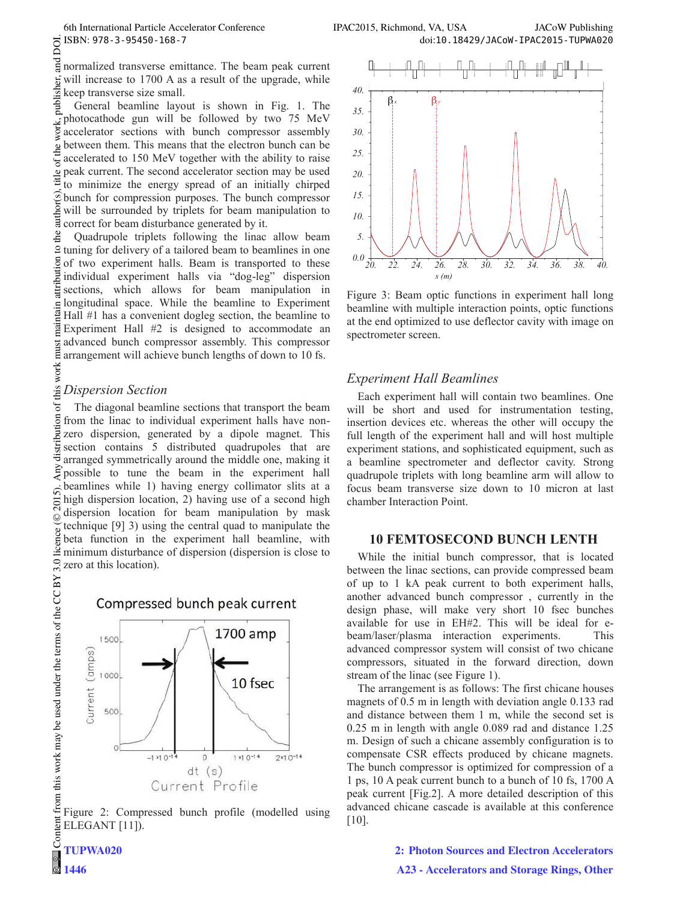FIFAC2015, Richmond, VA, USA JACoW Publishing<br>
ISBN: 978-3-95450-168-7<br>
normalized transverse emittance. The beam peak current<br>
will increase to 1700 A as a result of the upgrade, while<br>
keep transverse size small. and normalized transverse emittance. The beam peak current publisher, will increase to 1700 A as a result of the upgrade, while keep transverse size small.

General beamline layout is shown in Fig. 1. The photocathode gun will be followed by two 75 MeV accelerator sections with bunch compressor assembly between them. This means that the electron bunch can be  $\mathbf{e}$ accelerated to 150 MeV together with the ability to raise peak current. The second accelerator section may be used to minimize the energy spread of an initially chirped bunch for compression purposes. The bunch compressor will be surrounded by triplets for beam manipulation to correct for beam disturbance generated by it.

 $\odot$  2015). Any distribution of this work must maintain attribution to the author(s), title of the work, publisher, and DOI. Let  $D$  is the a bothor of the work, publisher, and DOI. the Quadrupole triplets following the linac allow beam tuning for delivery of a tailored beam to beamlines in one of two experiment halls. Beam is transported to these individual experiment halls via "dog-leg" dispersion sections, which allows for beam manipulation in longitudinal space. While the beamline to Experiment ntain Hall #1 has a convenient dogleg section, the beamline to Experiment Hall #2 is designed to accommodate an advanced bunch compressor assembly. This compressor arrangement will achieve bunch lengths of down to 10 fs.

# this work *Dispersion Section*

 $\sigma$ The diagonal beamline sections that transport the beam bution from the linac to individual experiment halls have nonzero dispersion, generated by a dipole magnet. This distrit section contains 5 distributed quadrupoles that are arranged symmetrically around the middle one, making it possible to tune the beam in the experiment hall beamlines while 1) having energy collimator slits at a ົດ. high dispersion location, 2) having use of a second high  $201$ dispersion location for beam manipulation by mask ©Content from this work may be used under the terms of the CC BY 3.0 licence ( $\epsilon$ technique [9] 3) using the central quad to manipulate the licence beta function in the experiment hall beamline, with minimum disturbance of dispersion (dispersion is close to  $3.01$ zero at this location).



from this work may be used under the terms of the CC BY Figure 2: Compressed bunch profile (modelled using ELEGANT [11]).



Figure 3: Beam optic functions in experiment hall long beamline with multiple interaction points, optic functions at the end optimized to use deflector cavity with image on spectrometer screen.

# *Experiment Hall Beamlines*

Each experiment hall will contain two beamlines. One will be short and used for instrumentation testing, insertion devices etc. whereas the other will occupy the full length of the experiment hall and will host multiple experiment stations, and sophisticated equipment, such as a beamline spectrometer and deflector cavity. Strong quadrupole triplets with long beamline arm will allow to focus beam transverse size down to 10 micron at last chamber Interaction Point.

#### **10 FEMTOSECOND BUNCH LENTH**

While the initial bunch compressor, that is located between the linac sections, can provide compressed beam of up to 1 kA peak current to both experiment halls, another advanced bunch compressor , currently in the design phase, will make very short 10 fsec bunches available for use in EH#2. This will be ideal for ebeam/laser/plasma interaction experiments. This advanced compressor system will consist of two chicane compressors, situated in the forward direction, down stream of the linac (see Figure 1).

The arrangement is as follows: The first chicane houses magnets of 0.5 m in length with deviation angle 0.133 rad and distance between them 1 m, while the second set is 0.25 m in length with angle 0.089 rad and distance 1.25 m. Design of such a chicane assembly configuration is to compensate CSR effects produced by chicane magnets. The bunch compressor is optimized for compression of a 1 ps, 10 A peak current bunch to a bunch of 10 fs, 1700 A peak current [Fig.2]. A more detailed description of this advanced chicane cascade is available at this conference [10].

Conten **TUPWA020 1446**